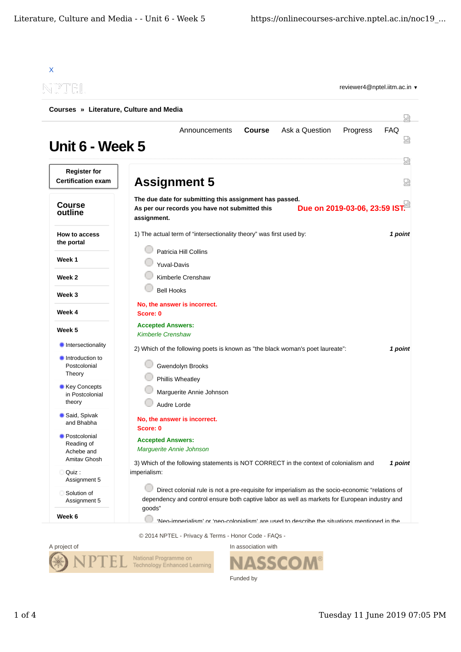| -PTEL                                            |                                                                                                                                                                                                  |                 |
|--------------------------------------------------|--------------------------------------------------------------------------------------------------------------------------------------------------------------------------------------------------|-----------------|
| Courses » Literature, Culture and Media          |                                                                                                                                                                                                  | 났               |
| Unit 6 - Week 5                                  | Ask a Question<br>Announcements<br><b>Course</b><br>Progress                                                                                                                                     | <b>FAQ</b><br>Ѩ |
| <b>Register for</b><br><b>Certification exam</b> | <b>Assignment 5</b>                                                                                                                                                                              | 疏<br>얺          |
| <b>Course</b><br>outline                         | The due date for submitting this assignment has passed.<br>Due on 2019-03-06, 23:59 IST.<br>As per our records you have not submitted this<br>assignment.                                        |                 |
| <b>How to access</b><br>the portal               | 1) The actual term of "intersectionality theory" was first used by:                                                                                                                              | 1 point         |
| Week 1                                           | Patricia Hill Collins<br><b>Yuval-Davis</b>                                                                                                                                                      |                 |
| Week 2                                           | Kimberle Crenshaw                                                                                                                                                                                |                 |
| Week 3                                           | <b>Bell Hooks</b>                                                                                                                                                                                |                 |
| Week 4                                           | No, the answer is incorrect.<br>Score: 0                                                                                                                                                         |                 |
| Week 5                                           | <b>Accepted Answers:</b><br><b>Kimberle Crenshaw</b>                                                                                                                                             |                 |
| Intersectionality                                | 2) Which of the following poets is known as "the black woman's poet laureate":                                                                                                                   | 1 point         |
| Introduction to<br>Postcolonial<br>Theory        | Gwendolyn Brooks                                                                                                                                                                                 |                 |
| Key Concepts<br>in Postcolonial                  | Phillis Wheatley<br>Marguerite Annie Johnson                                                                                                                                                     |                 |
| theory                                           | Audre Lorde                                                                                                                                                                                      |                 |
| Said, Spivak<br>and Bhabha                       | No, the answer is incorrect.<br>Score: 0                                                                                                                                                         |                 |
| Postcolonial<br>Reading of<br>Achebe and         | <b>Accepted Answers:</b><br>Marguerite Annie Johnson                                                                                                                                             |                 |
| Amitav Ghosh<br>Quiz :<br>Assignment 5           | 3) Which of the following statements is NOT CORRECT in the context of colonialism and<br>imperialism:                                                                                            | 1 point         |
| Solution of<br>Assignment 5                      | Direct colonial rule is not a pre-requisite for imperialism as the socio-economic "relations of<br>dependency and control ensure both captive labor as well as markets for European industry and |                 |
| Week 6                                           | goods"<br>'Neo-imnerialism' or 'neo-colonialism' are used to describe the situations mentioned in the                                                                                            |                 |

In association with



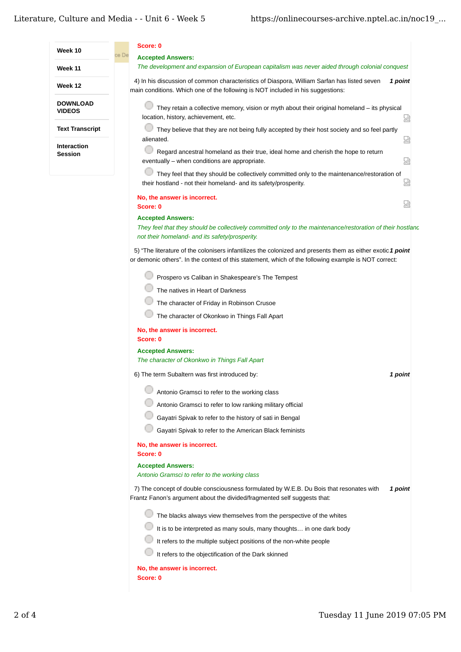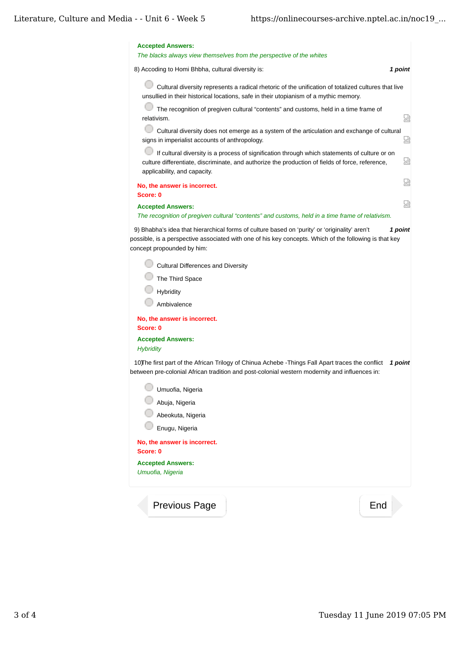| <b>Accepted Answers:</b><br>The blacks always view themselves from the perspective of the whites                                                                                                                                                 |   |
|--------------------------------------------------------------------------------------------------------------------------------------------------------------------------------------------------------------------------------------------------|---|
| 8) Accoding to Homi Bhbha, cultural diversity is:<br>1 point                                                                                                                                                                                     |   |
| Cultural diversity represents a radical rhetoric of the unification of totalized cultures that live<br>unsullied in their historical locations, safe in their utopianism of a mythic memory.                                                     |   |
| The recognition of pregiven cultural "contents" and customs, held in a time frame of<br>relativism.                                                                                                                                              | 덣 |
| Cultural diversity does not emerge as a system of the articulation and exchange of cultural<br>signs in imperialist accounts of anthropology.                                                                                                    | Ы |
| If cultural diversity is a process of signification through which statements of culture or on<br>culture differentiate, discriminate, and authorize the production of fields of force, reference,<br>applicability, and capacity.                | 요 |
| No, the answer is incorrect.<br>Score: 0                                                                                                                                                                                                         | 썮 |
| <b>Accepted Answers:</b><br>The recognition of pregiven cultural "contents" and customs, held in a time frame of relativism.                                                                                                                     | 났 |
| 9) Bhabha's idea that hierarchical forms of culture based on 'purity' or 'originality' aren't<br>1 point<br>possible, is a perspective associated with one of his key concepts. Which of the following is that key<br>concept propounded by him: |   |
| Cultural Differences and Diversity                                                                                                                                                                                                               |   |
| The Third Space                                                                                                                                                                                                                                  |   |
| Hybridity                                                                                                                                                                                                                                        |   |
| Ambivalence                                                                                                                                                                                                                                      |   |
| No, the answer is incorrect.<br>Score: 0                                                                                                                                                                                                         |   |
| <b>Accepted Answers:</b><br><b>Hybridity</b>                                                                                                                                                                                                     |   |
| 10) The first part of the African Trilogy of Chinua Achebe - Things Fall Apart traces the conflict<br>1 point<br>between pre-colonial African tradition and post-colonial western modernity and influences in:                                   |   |
| Umuofia, Nigeria                                                                                                                                                                                                                                 |   |
| Abuja, Nigeria                                                                                                                                                                                                                                   |   |
| Abeokuta, Nigeria                                                                                                                                                                                                                                |   |
| Enugu, Nigeria                                                                                                                                                                                                                                   |   |
| No, the answer is incorrect.<br>Score: 0                                                                                                                                                                                                         |   |
| <b>Accepted Answers:</b><br>Umuofia, Nigeria                                                                                                                                                                                                     |   |
| End<br><b>Previous Page</b>                                                                                                                                                                                                                      |   |